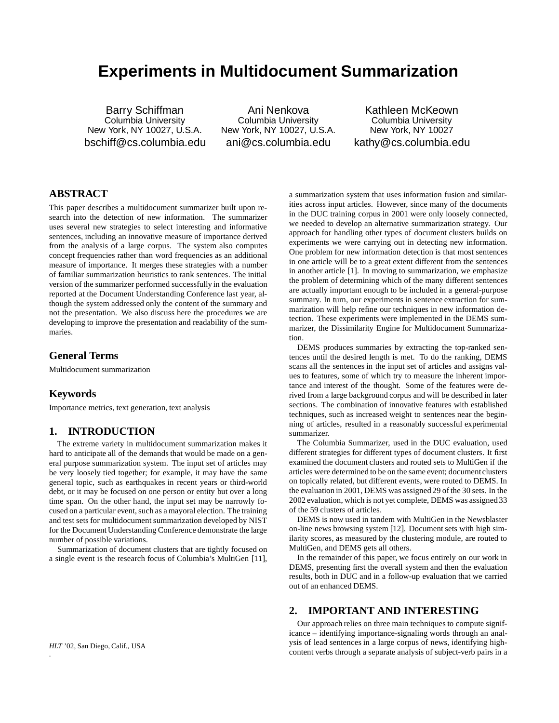# **Experiments in Multidocument Summarization**

Barry Schiffman Columbia University New York, NY 10027, U.S.A. bschiff@cs.columbia.edu

Ani Nenkova Columbia University New York, NY 10027, U.S.A. ani@cs.columbia.edu

Kathleen McKeown Columbia University New York, NY 10027 kathy@cs.columbia.edu

# **ABSTRACT**

This paper describes a multidocument summarizer built upon research into the detection of new information. The summarizer uses several new strategies to select interesting and informative sentences, including an innovative measure of importance derived from the analysis of a large corpus. The system also computes concept frequencies rather than word frequencies as an additional measure of importance. It merges these strategies with a number of familiar summarization heuristics to rank sentences. The initial version of the summarizer performed successfully in the evaluation reported at the Document Understanding Conference last year, although the system addressed only the content of the summary and not the presentation. We also discuss here the procedures we are developing to improve the presentation and readability of the summaries.

# **General Terms**

Multidocument summarization

### **Keywords**

Importance metrics, text generation, text analysis

### **1. INTRODUCTION**

The extreme variety in multidocument summarization makes it hard to anticipate all of the demands that would be made on a general purpose summarization system. The input set of articles may be very loosely tied together; for example, it may have the same general topic, such as earthquakes in recent years or third-world debt, or it may be focused on one person or entity but over a long time span. On the other hand, the input set may be narrowly focused on a particular event, such as a mayoral election. The training and test sets for multidocument summarization developed by NIST for the Document Understanding Conference demonstrate the large number of possible variations.

Summarization of document clusters that are tightly focused on a single event is the research focus of Columbia's MultiGen [11],

a summarization system that uses information fusion and similarities across input articles. However, since many of the documents in the DUC training corpus in 2001 were only loosely connected, we needed to develop an alternative summarization strategy. Our approach for handling other types of document clusters builds on experiments we were carrying out in detecting new information. One problem for new information detection is that most sentences in one article will be to a great extent different from the sentences in another article [1]. In moving to summarization, we emphasize the problem of determining which of the many different sentences are actually important enough to be included in a general-purpose summary. In turn, our experiments in sentence extraction for summarization will help refine our techniques in new information detection. These experiments were implemented in the DEMS summarizer, the Dissimilarity Engine for Multidocument Summarization.

DEMS produces summaries by extracting the top-ranked sentences until the desired length is met. To do the ranking, DEMS scans all the sentences in the input set of articles and assigns values to features, some of which try to measure the inherent importance and interest of the thought. Some of the features were derived from a large background corpus and will be described in later sections. The combination of innovative features with established techniques, such as increased weight to sentences near the beginning of articles, resulted in a reasonably successful experimental summarizer.

The Columbia Summarizer, used in the DUC evaluation, used different strategies for different types of document clusters. It first examined the document clusters and routed sets to MultiGen if the articles were determined to be on the same event; document clusters on topically related, but different events, were routed to DEMS. In the evaluation in 2001, DEMS was assigned 29 of the 30 sets. In the 2002 evaluation, which is not yet complete, DEMS was assigned 33 of the 59 clusters of articles.

DEMS is now used in tandem with MultiGen in the Newsblaster on-line news browsing system [12]. Document sets with high similarity scores, as measured by the clustering module, are routed to MultiGen, and DEMS gets all others.

In the remainder of this paper, we focus entirely on our work in DEMS, presenting first the overall system and then the evaluation results, both in DUC and in a follow-up evaluation that we carried out of an enhanced DEMS.

# **2. IMPORTANT AND INTERESTING**

Our approach relies on three main techniques to compute significance – identifying importance-signaling words through an analysis of lead sentences in a large corpus of news, identifying highcontent verbs through a separate analysis of subject-verb pairs in a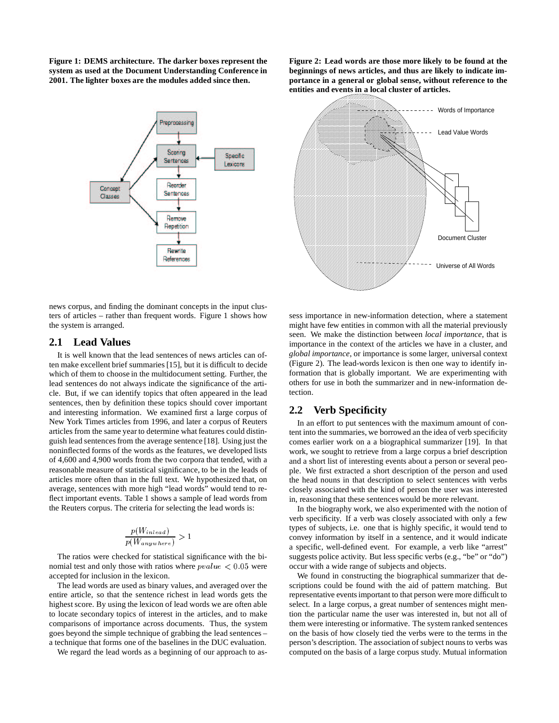**Figure 1: DEMS architecture. The darker boxes represent the system as used at the Document Understanding Conference in 2001. The lighter boxes are the modules added since then.**



news corpus, and finding the dominant concepts in the input clusters of articles – rather than frequent words. Figure 1 shows how the system is arranged.

### **2.1 Lead Values**

It is well known that the lead sentences of news articles can often make excellent brief summaries [15], but it is difficult to decide which of them to choose in the multidocument setting. Further, the lead sentences do not always indicate the significance of the article. But, if we can identify topics that often appeared in the lead sentences, then by definition these topics should cover important and interesting information. We examined first a large corpus of New York Times articles from 1996, and later a corpus of Reuters articles from the same year to determine what features could distinguish lead sentences from the average sentence [18]. Using just the noninflected forms of the words as the features, we developed lists of 4,600 and 4,900 words from the two corpora that tended, with a reasonable measure of statistical significance, to be in the leads of articles more often than in the full text. We hypothesized that, on average, sentences with more high "lead words" would tend to reflect important events. Table 1 shows a sample of lead words from the Reuters corpus. The criteria for selecting the lead words is:

$$
\frac{p(W_{inlead})}{p(W_{anywhere})} > 1
$$

The ratios were checked for statistical significance with the binomial test and only those with ratios where  $pvalue < 0.05$  were accepted for inclusion in the lexicon.

The lead words are used as binary values, and averaged over the entire article, so that the sentence richest in lead words gets the highest score. By using the lexicon of lead words we are often able to locate secondary topics of interest in the articles, and to make comparisons of importance across documents. Thus, the system goes beyond the simple technique of grabbing the lead sentences – a technique that forms one of the baselines in the DUC evaluation.

We regard the lead words as a beginning of our approach to as-

**Figure 2: Lead words are those more likely to be found at the beginnings of news articles, and thus are likely to indicate importance in a general or global sense, without reference to the entities and events in a local cluster of articles.**



sess importance in new-information detection, where a statement might have few entities in common with all the material previously seen. We make the distinction between *local importance*, that is importance in the context of the articles we have in a cluster, and *global importance*, or importance is some larger, universal context (Figure 2). The lead-words lexicon is then one way to identify information that is globally important. We are experimenting with others for use in both the summarizer and in new-information detection.

# **2.2 Verb Specificity**

In an effort to put sentences with the maximum amount of content into the summaries, we borrowed an the idea of verb specificity comes earlier work on a a biographical summarizer [19]. In that work, we sought to retrieve from a large corpus a brief description and a short list of interesting events about a person or several people. We first extracted a short description of the person and used the head nouns in that description to select sentences with verbs closely associated with the kind of person the user was interested in, reasoning that these sentences would be more relevant.

In the biography work, we also experimented with the notion of verb specificity. If a verb was closely associated with only a few types of subjects, i.e. one that is highly specific, it would tend to convey information by itself in a sentence, and it would indicate a specific, well-defined event. For example, a verb like "arrest" suggests police activity. But less specific verbs (e.g., "be" or "do") occur with a wide range of subjects and objects.

We found in constructing the biographical summarizer that descriptions could be found with the aid of pattern matching. But representative events important to that person were more difficult to select. In a large corpus, a great number of sentences might mention the particular name the user was interested in, but not all of them were interesting or informative. The system ranked sentences on the basis of how closely tied the verbs were to the terms in the person's description. The association of subject nouns to verbs was computed on the basis of a large corpus study. Mutual information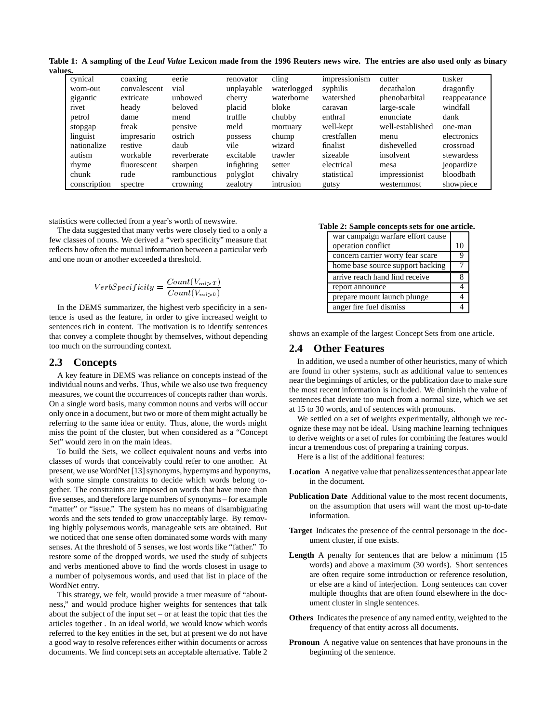Table 1: A sampling of the Lead Value Lexicon made from the 1996 Reuters news wire. The entries are also used only as binary **values.**

| cynical      | coaxing      | eerie        | renovator  | $\text{clip}$ | impressionism | cutter           | tusker       |
|--------------|--------------|--------------|------------|---------------|---------------|------------------|--------------|
| worn-out     | convalescent | vial         | unplayable | waterlogged   | syphilis      | decathalon       | dragonfly    |
| gigantic     | extricate    | unbowed      | cherry     | waterborne    | watershed     | phenobarbital    | reappearance |
| rivet        | heady        | beloved      | placid     | bloke         | caravan       | large-scale      | windfall     |
| petrol       | dame         | mend         | truffle    | chubby        | enthral       | enunciate        | dank         |
| stopgap      | freak        | pensive      | meld       | mortuary      | well-kept     | well-established | one-man      |
| linguist     | impresario   | ostrich      | possess    | chump         | crestfallen   | menu             | electronics  |
| nationalize  | restive      | daub         | vile       | wizard        | finalist      | dishevelled      | crossroad    |
| autism       | workable     | reverberate  | excitable  | trawler       | sizeable      | insolvent        | stewardess   |
| rhyme        | fluorescent  | sharpen      | infighting | setter        | electrical    | mesa             | jeopardize   |
| chunk        | rude         | rambunctious | polyglot   | chivalry      | statistical   | impressionist    | bloodbath    |
| conscription | spectre      | crowning     | zealotry   | intrusion     | gutsy         | westernmost      | showpiece    |

statistics were collected from a year's worth of newswire.

The data suggested that many verbs were closely tied to a only a few classes of nouns. We derived a "verb specificity" measure that reflects how often the mutual information between a particular verb and one noun or another exceeded a threshold.

$$
VerbSpecificity = \frac{Count(V_{mi>T})}{Count(V_{mi>0})}
$$

In the DEMS summarizer, the highest verb specificity in a sentence is used as the feature, in order to give increased weight to sentences rich in content. The motivation is to identify sentences that convey a complete thought by themselves, without depending too much on the surrounding context.

### **2.3 Concepts**

A key feature in DEMS was reliance on concepts instead of the individual nouns and verbs. Thus, while we also use two frequency measures, we count the occurrences of concepts rather than words. On a single word basis, many common nouns and verbs will occur only once in a document, but two or more of them might actually be referring to the same idea or entity. Thus, alone, the words might miss the point of the cluster, but when considered as a "Concept Set" would zero in on the main ideas.

To build the Sets, we collect equivalent nouns and verbs into classes of words that conceivably could refer to one another. At present, we use WordNet [13] synonyms, hypernyms and hyponyms, with some simple constraints to decide which words belong together. The constraints are imposed on words that have more than five senses, and therefore large numbers of synonyms – for example "matter" or "issue." The system has no means of disambiguating words and the sets tended to grow unacceptably large. By removing highly polysemous words, manageable sets are obtained. But we noticed that one sense often dominated some words with many senses. At the threshold of 5 senses, we lost words like "father." To restore some of the dropped words, we used the study of subjects and verbs mentioned above to find the words closest in usage to a number of polysemous words, and used that list in place of the WordNet entry.

This strategy, we felt, would provide a truer measure of "aboutness," and would produce higher weights for sentences that talk about the subject of the input set – or at least the topic that ties the articles together . In an ideal world, we would know which words referred to the key entities in the set, but at present we do not have a good way to resolve references either within documents or across documents. We find concept sets an acceptable alternative. Table 2

#### **Table 2: Sample concepts sets for one article.**

| war campaign warfare effort cause |    |
|-----------------------------------|----|
| operation conflict                | 10 |
| concern carrier worry fear scare  |    |
| home base source support backing  |    |
|                                   |    |
| arrive reach hand find receive    |    |
| report announce                   |    |
| prepare mount launch plunge       |    |

shows an example of the largest Concept Sets from one article.

#### **2.4 Other Features**

In addition, we used a number of other heuristics, many of which are found in other systems, such as additional value to sentences near the beginnings of articles, or the publication date to make sure the most recent information is included. We diminish the value of sentences that deviate too much from a normal size, which we set at 15 to 30 words, and of sentences with pronouns.

We settled on a set of weights experimentally, although we recognize these may not be ideal. Using machine learning techniques to derive weights or a set of rules for combining the features would incur a tremendous cost of preparing a training corpus.

Here is a list of the additional features:

- Location A negative value that penalizes sentences that appear late in the document.
- **Publication Date** Additional value to the most recent documents, on the assumption that users will want the most up-to-date information.
- **Target** Indicates the presence of the central personage in the document cluster, if one exists.
- **Length** A penalty for sentences that are below a minimum (15 words) and above a maximum (30 words). Short sentences are often require some introduction or reference resolution, or else are a kind of interjection. Long sentences can cover multiple thoughts that are often found elsewhere in the document cluster in single sentences.
- **Others** Indicates the presence of any named entity, weighted to the frequency of that entity across all documents.
- **Pronoun** A negative value on sentences that have pronouns in the beginning of the sentence.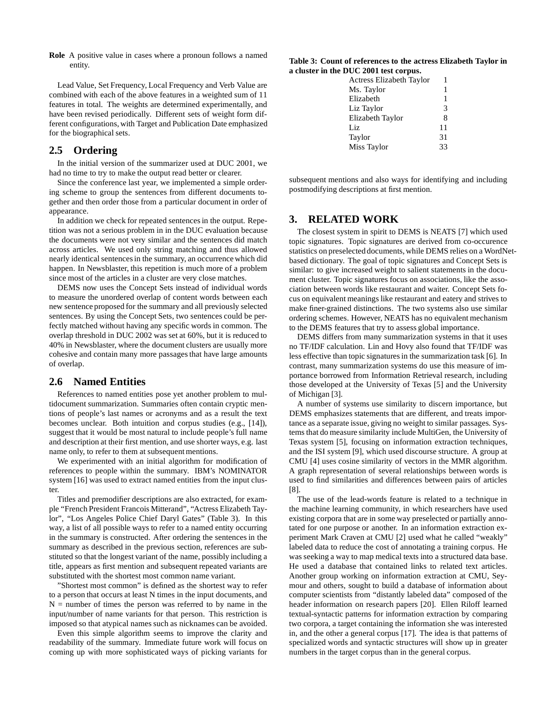**Role** A positive value in cases where a pronoun follows a named entity.

Lead Value, Set Frequency, Local Frequency and Verb Value are combined with each of the above features in a weighted sum of 11 features in total. The weights are determined experimentally, and have been revised periodically. Different sets of weight form different configurations, with Target and Publication Date emphasized for the biographical sets.

# **2.5 Ordering**

In the initial version of the summarizer used at DUC 2001, we had no time to try to make the output read better or clearer.

Since the conference last year, we implemented a simple ordering scheme to group the sentences from different documents together and then order those from a particular document in order of appearance.

In addition we check for repeated sentences in the output. Repetition was not a serious problem in in the DUC evaluation because the documents were not very similar and the sentences did match across articles. We used only string matching and thus allowed nearly identical sentences in the summary, an occurrencewhich did happen. In Newsblaster, this repetition is much more of a problem since most of the articles in a cluster are very close matches.

DEMS now uses the Concept Sets instead of individual words to measure the unordered overlap of content words between each new sentence proposed for the summary and all previously selected sentences. By using the Concept Sets, two sentences could be perfectly matched without having any specific words in common. The overlap threshold in DUC 2002 was set at 60%, but it is reduced to 40% in Newsblaster, where the document clusters are usually more cohesive and contain many more passages that have large amounts of overlap.

### **2.6 Named Entities**

References to named entities pose yet another problem to multidocument summarization. Summaries often contain cryptic mentions of people's last names or acronyms and as a result the text becomes unclear. Both intuition and corpus studies (e.g., [14]), suggest that it would be most natural to include people's full name and description at their first mention, and use shorter ways, e.g. last name only, to refer to them at subsequent mentions.

We experimented with an initial algorithm for modification of references to people within the summary. IBM's NOMINATOR system [16] was used to extract named entities from the input cluster.

Titles and premodifier descriptions are also extracted, for example "French President Francois Mitterand", "Actress Elizabeth Taylor", "Los Angeles Police Chief Daryl Gates" (Table 3). In this way, a list of all possible ways to refer to a named entity occurring in the summary is constructed. After ordering the sentences in the summary as described in the previous section, references are substituted so that the longest variant of the name, possibly including a title, appears as first mention and subsequent repeated variants are substituted with the shortest most common name variant.

"Shortest most common" is defined as the shortest way to refer to a person that occurs at least N times in the input documents, and  $N =$  number of times the person was referred to by name in the input/number of name variants for that person. This restriction is imposed so that atypical names such as nicknames can be avoided.

Even this simple algorithm seems to improve the clarity and readability of the summary. Immediate future work will focus on coming up with more sophisticated ways of picking variants for

#### **Table 3: Count of references to the actress Elizabeth Taylor in a cluster in the DUC 2001 test corpus.**

| <b>Actress Elizabeth Taylor</b> |    |
|---------------------------------|----|
| Ms. Taylor                      |    |
| Elizabeth                       | 1  |
| Liz Taylor                      | 3  |
| Elizabeth Taylor                | 8  |
| Liz                             | 11 |
| Taylor                          | 31 |
| Miss Taylor                     | 33 |
|                                 |    |

subsequent mentions and also ways for identifying and including postmodifying descriptions at first mention.

# **3. RELATED WORK**

The closest system in spirit to DEMS is NEATS [7] which used topic signatures. Topic signatures are derived from co-occurence statistics on preselected documents, while DEMS relies on a WordNetbased dictionary. The goal of topic signatures and Concept Sets is similar: to give increased weight to salient statements in the document cluster. Topic signatures focus on associations, like the association between words like restaurant and waiter. Concept Sets focus on equivalent meanings like restaurant and eatery and strives to make finer-grained distinctions. The two systems also use similar ordering schemes. However, NEATS has no equivalent mechanism to the DEMS features that try to assess global importance.

DEMS differs from many summarization systems in that it uses no TF/IDF calculation. Lin and Hovy also found that TF/IDF was less effective than topic signatures in the summarization task [6]. In contrast, many summarization systems do use this measure of importance borrowed from Information Retrieval research, including those developed at the University of Texas [5] and the University of Michigan [3].

A number of systems use similarity to discern importance, but DEMS emphasizes statements that are different, and treats importance as a separate issue, giving no weight to similar passages. Systems that do measure similarity include MultiGen, the University of Texas system [5], focusing on information extraction techniques, and the ISI system [9], which used discourse structure. A group at CMU [4] uses cosine similarity of vectors in the MMR algorithm. A graph representation of several relationships between words is used to find similarities and differences between pairs of articles [8].

The use of the lead-words feature is related to a technique in the machine learning community, in which researchers have used existing corpora that are in some way preselected or partially annotated for one purpose or another. In an information extraction experiment Mark Craven at CMU [2] used what he called "weakly" labeled data to reduce the cost of annotating a training corpus. He was seeking a way to map medical texts into a structured data base. He used a database that contained links to related text articles. Another group working on information extraction at CMU, Seymour and others, sought to build a database of information about computer scientists from "distantly labeled data" composed of the header information on research papers [20]. Ellen Riloff learned textual-syntactic patterns for information extraction by comparing two corpora, a target containing the information she was interested in, and the other a general corpus [17]. The idea is that patterns of specialized words and syntactic structures will show up in greater numbers in the target corpus than in the general corpus.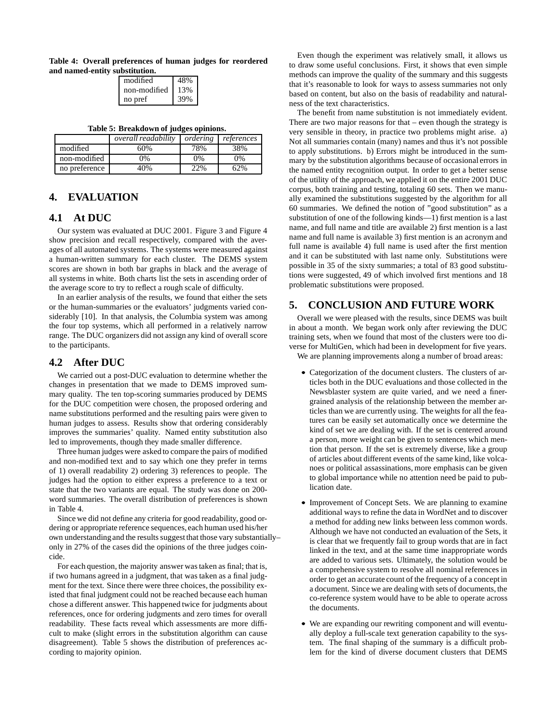**Table 4: Overall preferences of human judges for reordered and named-entity substitution.**

| modified     | 48% |
|--------------|-----|
| non-modified | 13% |
| no pref      | 39% |

**Table 5: Breakdown of judges opinions.**

|               | <i>overall readability</i> | ordering | references |
|---------------|----------------------------|----------|------------|
| modified      | 60%                        | 78%      | 38%        |
| non-modified  | 0%                         | 0%       | $0\%$      |
| no preference | 40%                        | $22\%$   | 62%        |

# **4. EVALUATION**

# **4.1 At DUC**

Our system was evaluated at DUC 2001. Figure 3 and Figure 4 show precision and recall respectively, compared with the averages of all automated systems. The systems were measured against a human-written summary for each cluster. The DEMS system scores are shown in both bar graphs in black and the average of all systems in white. Both charts list the sets in ascending order of the average score to try to reflect a rough scale of difficulty.

In an earlier analysis of the results, we found that either the sets or the human-summaries or the evaluators' judgments varied considerably [10]. In that analysis, the Columbia system was among the four top systems, which all performed in a relatively narrow range. The DUC organizers did not assign any kind of overall score to the participants.

# **4.2 After DUC**

We carried out a post-DUC evaluation to determine whether the changes in presentation that we made to DEMS improved summary quality. The ten top-scoring summaries produced by DEMS for the DUC competition were chosen, the proposed ordering and name substitutions performed and the resulting pairs were given to human judges to assess. Results show that ordering considerably improves the summaries' quality. Named entity substitution also led to improvements, though they made smaller difference.

Three human judges were asked to compare the pairs of modified and non-modified text and to say which one they prefer in terms of 1) overall readability 2) ordering 3) references to people. The judges had the option to either express a preference to a text or state that the two variants are equal. The study was done on 200 word summaries. The overall distribution of preferences is shown in Table 4.

Since we did not define any criteria for good readability, good ordering or appropriate reference sequences, each human used his/her own understandingand the results suggest that those vary substantially– only in 27% of the cases did the opinions of the three judges coincide.

For each question, the majority answer was taken as final; that is, if two humans agreed in a judgment, that was taken as a final judgment for the text. Since there were three choices, the possibility existed that final judgment could not be reached because each human chose a different answer. This happened twice for judgments about references, once for ordering judgments and zero times for overall readability. These facts reveal which assessments are more difficult to make (slight errors in the substitution algorithm can cause disagreement). Table 5 shows the distribution of preferences according to majority opinion.

Even though the experiment was relatively small, it allows us to draw some useful conclusions. First, it shows that even simple methods can improve the quality of the summary and this suggests that it's reasonable to look for ways to assess summaries not only based on content, but also on the basis of readability and naturalness of the text characteristics.

The benefit from name substitution is not immediately evident. There are two major reasons for that – even though the strategy is very sensible in theory, in practice two problems might arise. a) Not all summaries contain (many) names and thus it's not possible to apply substitutions. b) Errors might be introduced in the summary by the substitution algorithms because of occasional errors in the named entity recognition output. In order to get a better sense of the utility of the approach, we applied it on the entire 2001 DUC corpus, both training and testing, totaling 60 sets. Then we manually examined the substitutions suggested by the algorithm for all 60 summaries. We defined the notion of "good substitution" as a substitution of one of the following kinds—1) first mention is a last name, and full name and title are available 2) first mention is a last name and full name is available 3) first mention is an acronym and full name is available 4) full name is used after the first mention and it can be substituted with last name only. Substitutions were possible in 35 of the sixty summaries; a total of 83 good substitutions were suggested, 49 of which involved first mentions and 18 problematic substitutions were proposed.

### **5. CONCLUSION AND FUTURE WORK**

Overall we were pleased with the results, since DEMS was built in about a month. We began work only after reviewing the DUC training sets, when we found that most of the clusters were too diverse for MultiGen, which had been in development for five years. We are planning improvements along a number of broad areas:

- Categorization of the document clusters. The clusters of articles both in the DUC evaluations and those collected in the Newsblaster system are quite varied, and we need a finergrained analysis of the relationship between the member articles than we are currently using. The weights for all the features can be easily set automatically once we determine the kind of set we are dealing with. If the set is centered around a person, more weight can be given to sentences which mention that person. If the set is extremely diverse, like a group of articles about different events of the same kind, like volcanoes or political assassinations, more emphasis can be given to global importance while no attention need be paid to publication date.
- Improvement of Concept Sets. We are planning to examine additional ways to refine the data in WordNet and to discover a method for adding new links between less common words. Although we have not conducted an evaluation of the Sets, it is clear that we frequently fail to group words that are in fact linked in the text, and at the same time inappropriate words are added to various sets. Ultimately, the solution would be a comprehensive system to resolve all nominal references in order to get an accurate count of the frequency of a concept in a document. Since we are dealing with sets of documents, the co-reference system would have to be able to operate across the documents.
- We are expanding our rewriting component and will eventually deploy a full-scale text generation capability to the system. The final shaping of the summary is a difficult problem for the kind of diverse document clusters that DEMS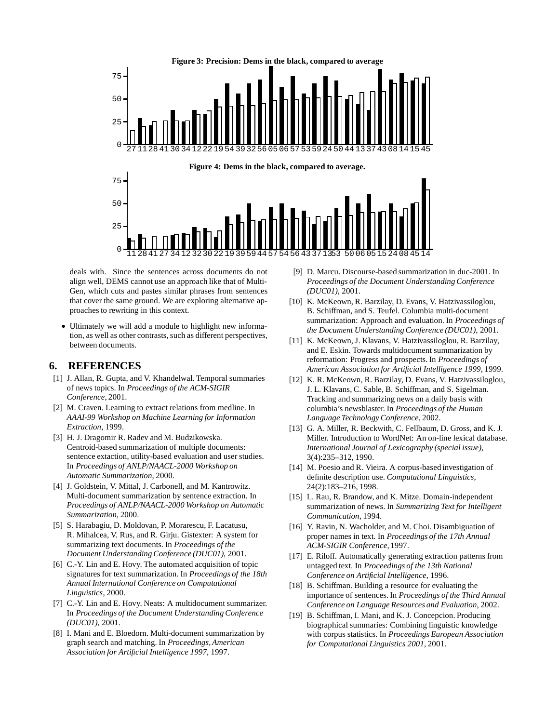

deals with. Since the sentences across documents do not align well, DEMS cannot use an approach like that of Multi-Gen, which cuts and pastes similar phrases from sentences that cover the same ground. We are exploring alternative approaches to rewriting in this context.

 Ultimately we will add a module to highlight new information, as well as other contrasts, such as different perspectives, between documents.

# **6. REFERENCES**

- [1] J. Allan, R. Gupta, and V. Khandelwal. Temporal summaries of news topics. In *Proceedings of the ACM-SIGIR Conference*, 2001.
- [2] M. Craven. Learning to extract relations from medline. In *AAAI-99 Workshop on Machine Learning for Information Extraction*, 1999.
- [3] H. J. Dragomir R. Radev and M. Budzikowska. Centroid-based summarization of multiple documents: sentence extaction, utility-based evaluation and user studies. In *Proceedings of ANLP/NAACL-2000 Workshop on Automatic Summarization*, 2000.
- [4] J. Goldstein, V. Mittal, J. Carbonell, and M. Kantrowitz. Multi-document summarization by sentence extraction. In *Proceedings of ANLP/NAACL-2000 Workshop on Automatic Summarization*, 2000.
- [5] S. Harabagiu, D. Moldovan, P. Morarescu, F. Lacatusu, R. Mihalcea, V. Rus, and R. Girju. Gistexter: A system for summarizing text documents. In *Proceedings of the Document UnderstandingConference (DUC01)*, 2001.
- [6] C.-Y. Lin and E. Hovy. The automated acquisition of topic signatures for text summarization. In *Proceedings of the 18th Annual International Conference on Computational Linguistics*, 2000.
- [7] C.-Y. Lin and E. Hovy. Neats: A multidocument summarizer. In *Proceedings of the Document UnderstandingConference (DUC01)*, 2001.
- [8] I. Mani and E. Bloedorn. Multi-document summarization by graph search and matching. In *Proceedings, American Association for Artificial Intelligence 1997*, 1997.
- [9] D. Marcu. Discourse-based summarization in duc-2001. In *Proceedings of the Document UnderstandingConference (DUC01)*, 2001.
- [10] K. McKeown, R. Barzilay, D. Evans, V. Hatzivassiloglou, B. Schiffman, and S. Teufel. Columbia multi-document summarization: Approach and evaluation. In *Proceedings of the Document UnderstandingConference (DUC01)*, 2001.
- [11] K. McKeown, J. Klavans, V. Hatzivassiloglou, R. Barzilay, and E. Eskin. Towards multidocument summarization by reformation: Progress and prospects. In *Proceedings of American Association for Artificial Intelligence 1999*, 1999.
- [12] K. R. McKeown, R. Barzilay, D. Evans, V. Hatzivassiloglou, J. L. Klavans, C. Sable, B. Schiffman, and S. Sigelman. Tracking and summarizing news on a daily basis with columbia's newsblaster. In *Proceedings of the Human Language TechnologyConference*, 2002.
- [13] G. A. Miller, R. Beckwith, C. Fellbaum, D. Gross, and K. J. Miller. Introduction to WordNet: An on-line lexical database. *International Journal of Lexicography (special issue)*, 3(4):235–312, 1990.
- [14] M. Poesio and R. Vieira. A corpus-based investigation of definite description use. *Computational Linguistics*, 24(2):183–216, 1998.
- [15] L. Rau, R. Brandow, and K. Mitze. Domain-independent summarization of news. In *Summarizing Text for Intelligent Communication*, 1994.
- [16] Y. Ravin, N. Wacholder, and M. Choi. Disambiguation of proper names in text. In *Proceedings of the 17th Annual ACM-SIGIR Conference*, 1997.
- [17] E. Riloff. Automatically generating extraction patterns from untagged text. In *Proceedings of the 13th National Conference on Artificial Intelligence*, 1996.
- [18] B. Schiffman. Building a resource for evaluating the importance of sentences. In *Proceedings of the Third Annual Conference on Language Resources and Evaluation*, 2002.
- [19] B. Schiffman, I. Mani, and K. J. Concepcion. Producing biographical summaries: Combining linguistic knowledge with corpus statistics. In *Proceedings European Association for Computational Linguistics 2001*, 2001.